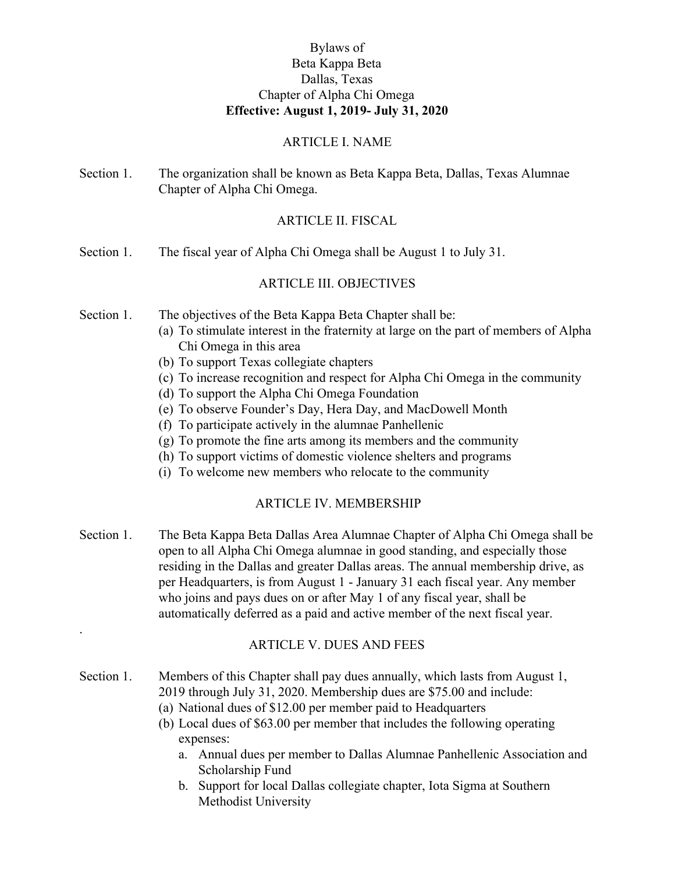## Bylaws of Beta Kappa Beta Dallas, Texas Chapter of Alpha Chi Omega **Effective: August 1, 2019- July 31, 2020**

#### ARTICLE I. NAME

Section 1. The organization shall be known as Beta Kappa Beta, Dallas, Texas Alumnae Chapter of Alpha Chi Omega.

#### ARTICLE II. FISCAL

Section 1. The fiscal year of Alpha Chi Omega shall be August 1 to July 31.

#### ARTICLE III. OBJECTIVES

- Section 1. The objectives of the Beta Kappa Beta Chapter shall be:
	- (a) To stimulate interest in the fraternity at large on the part of members of Alpha Chi Omega in this area
	- (b) To support Texas collegiate chapters

.

- (c) To increase recognition and respect for Alpha Chi Omega in the community
- (d) To support the Alpha Chi Omega Foundation
- (e) To observe Founder's Day, Hera Day, and MacDowell Month
- (f) To participate actively in the alumnae Panhellenic
- (g) To promote the fine arts among its members and the community
- (h) To support victims of domestic violence shelters and programs
- (i) To welcome new members who relocate to the community

#### ARTICLE IV. MEMBERSHIP

Section 1. The Beta Kappa Beta Dallas Area Alumnae Chapter of Alpha Chi Omega shall be open to all Alpha Chi Omega alumnae in good standing, and especially those residing in the Dallas and greater Dallas areas. The annual membership drive, as per Headquarters, is from August 1 - January 31 each fiscal year. Any member who joins and pays dues on or after May 1 of any fiscal year, shall be automatically deferred as a paid and active member of the next fiscal year.

## ARTICLE V. DUES AND FEES

- Section 1. Members of this Chapter shall pay dues annually, which lasts from August 1, 2019 through July 31, 2020. Membership dues are \$75.00 and include:
	- (a) National dues of \$12.00 per member paid to Headquarters
	- (b) Local dues of \$63.00 per member that includes the following operating expenses:
		- a. Annual dues per member to Dallas Alumnae Panhellenic Association and Scholarship Fund
		- b. Support for local Dallas collegiate chapter, Iota Sigma at Southern Methodist University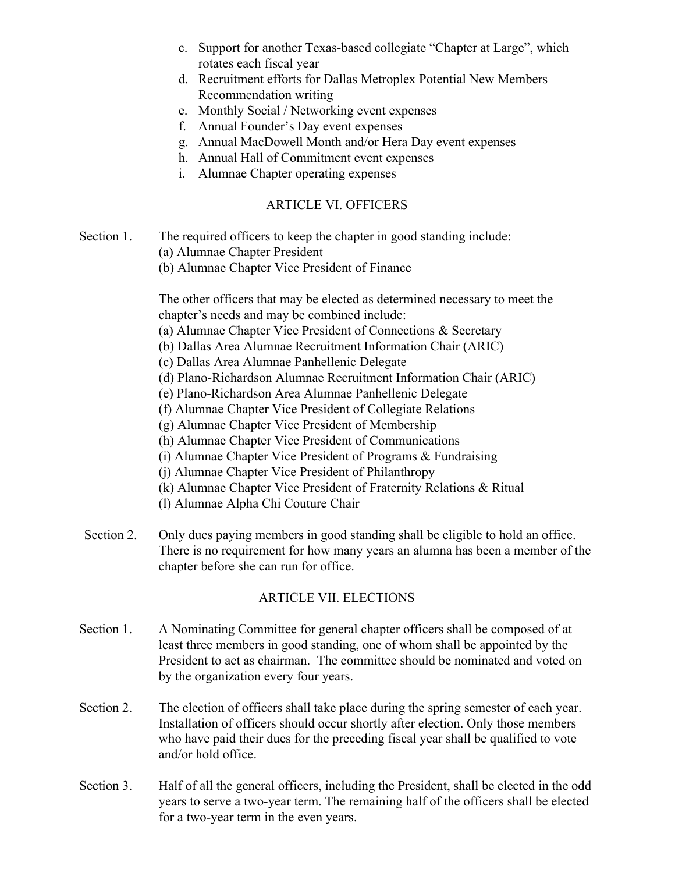- c. Support for another Texas-based collegiate "Chapter at Large", which rotates each fiscal year
- d. Recruitment efforts for Dallas Metroplex Potential New Members Recommendation writing
- e. Monthly Social / Networking event expenses
- f. Annual Founder's Day event expenses
- g. Annual MacDowell Month and/or Hera Day event expenses
- h. Annual Hall of Commitment event expenses
- i. Alumnae Chapter operating expenses

## ARTICLE VI. OFFICERS

- Section 1. The required officers to keep the chapter in good standing include:
	- (a) Alumnae Chapter President
	- (b) Alumnae Chapter Vice President of Finance

The other officers that may be elected as determined necessary to meet the chapter's needs and may be combined include:

- (a) Alumnae Chapter Vice President of Connections & Secretary
- (b) Dallas Area Alumnae Recruitment Information Chair (ARIC)
- (c) Dallas Area Alumnae Panhellenic Delegate
- (d) Plano-Richardson Alumnae Recruitment Information Chair (ARIC)
- (e) Plano-Richardson Area Alumnae Panhellenic Delegate
- (f) Alumnae Chapter Vice President of Collegiate Relations
- (g) Alumnae Chapter Vice President of Membership
- (h) Alumnae Chapter Vice President of Communications
- (i) Alumnae Chapter Vice President of Programs & Fundraising
- (j) Alumnae Chapter Vice President of Philanthropy
- (k) Alumnae Chapter Vice President of Fraternity Relations & Ritual
- (l) Alumnae Alpha Chi Couture Chair
- Section 2. Only dues paying members in good standing shall be eligible to hold an office. There is no requirement for how many years an alumna has been a member of the chapter before she can run for office.

# ARTICLE VII. ELECTIONS

- Section 1. A Nominating Committee for general chapter officers shall be composed of at least three members in good standing, one of whom shall be appointed by the President to act as chairman. The committee should be nominated and voted on by the organization every four years.
- Section 2. The election of officers shall take place during the spring semester of each year. Installation of officers should occur shortly after election. Only those members who have paid their dues for the preceding fiscal year shall be qualified to vote and/or hold office.
- Section 3. Half of all the general officers, including the President, shall be elected in the odd years to serve a two-year term. The remaining half of the officers shall be elected for a two-year term in the even years.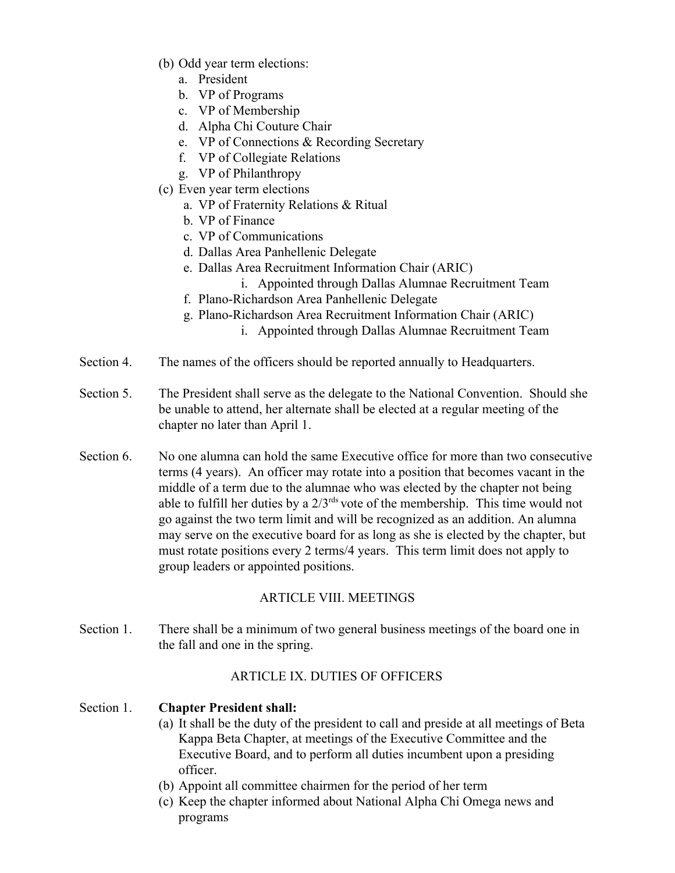- (b) Odd year term elections:
	- a. President
	- b. VP of Programs
	- c. VP of Membership
	- d. Alpha Chi Couture Chair
	- e. VP of Connections & Recording Secretary
	- f. VP of Collegiate Relations
	- g. VP of Philanthropy
- (c) Even year term elections
	- a. VP of Fraternity Relations & Ritual
	- b. VP of Finance
	- c. VP of Communications
	- d. Dallas Area Panhellenic Delegate
	- e. Dallas Area Recruitment Information Chair (ARIC)
		- i. Appointed through Dallas Alumnae Recruitment Team
	- f. Plano-Richardson Area Panhellenic Delegate
	- g. Plano-Richardson Area Recruitment Information Chair (ARIC)
		- i. Appointed through Dallas Alumnae Recruitment Team
- Section 4. The names of the officers should be reported annually to Headquarters.
- Section 5. The President shall serve as the delegate to the National Convention. Should she be unable to attend, her alternate shall be elected at a regular meeting of the chapter no later than April 1.
- Section 6. No one alumna can hold the same Executive office for more than two consecutive terms (4 years). An officer may rotate into a position that becomes vacant in the middle of a term due to the alumnae who was elected by the chapter not being able to fulfill her duties by a  $2/3$ <sup>rds</sup> vote of the membership. This time would not go against the two term limit and will be recognized as an addition. An alumna may serve on the executive board for as long as she is elected by the chapter, but must rotate positions every 2 terms/4 years. This term limit does not apply to group leaders or appointed positions.

# ARTICLE VIII. MEETINGS

Section 1. There shall be a minimum of two general business meetings of the board one in the fall and one in the spring.

# ARTICLE IX. DUTIES OF OFFICERS

# Section 1. **Chapter President shall:**

- (a) It shall be the duty of the president to call and preside at all meetings of Beta Kappa Beta Chapter, at meetings of the Executive Committee and the Executive Board, and to perform all duties incumbent upon a presiding officer.
- (b) Appoint all committee chairmen for the period of her term
- (c) Keep the chapter informed about National Alpha Chi Omega news and programs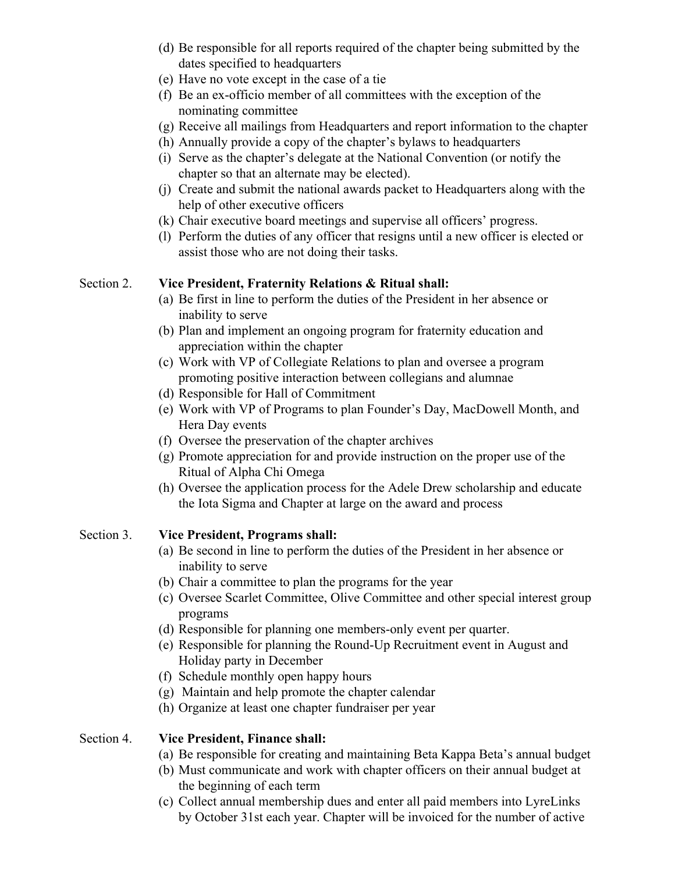- (d) Be responsible for all reports required of the chapter being submitted by the dates specified to headquarters
- (e) Have no vote except in the case of a tie
- (f) Be an ex-officio member of all committees with the exception of the nominating committee
- (g) Receive all mailings from Headquarters and report information to the chapter
- (h) Annually provide a copy of the chapter's bylaws to headquarters
- (i) Serve as the chapter's delegate at the National Convention (or notify the chapter so that an alternate may be elected).
- (j) Create and submit the national awards packet to Headquarters along with the help of other executive officers
- (k) Chair executive board meetings and supervise all officers' progress.
- (l) Perform the duties of any officer that resigns until a new officer is elected or assist those who are not doing their tasks.

## Section 2. **Vice President, Fraternity Relations & Ritual shall:**

- (a) Be first in line to perform the duties of the President in her absence or inability to serve
- (b) Plan and implement an ongoing program for fraternity education and appreciation within the chapter
- (c) Work with VP of Collegiate Relations to plan and oversee a program promoting positive interaction between collegians and alumnae
- (d) Responsible for Hall of Commitment
- (e) Work with VP of Programs to plan Founder's Day, MacDowell Month, and Hera Day events
- (f) Oversee the preservation of the chapter archives
- (g) Promote appreciation for and provide instruction on the proper use of the Ritual of Alpha Chi Omega
- (h) Oversee the application process for the Adele Drew scholarship and educate the Iota Sigma and Chapter at large on the award and process

# Section 3. **Vice President, Programs shall:**

- (a) Be second in line to perform the duties of the President in her absence or inability to serve
- (b) Chair a committee to plan the programs for the year
- (c) Oversee Scarlet Committee, Olive Committee and other special interest group programs
- (d) Responsible for planning one members-only event per quarter.
- (e) Responsible for planning the Round-Up Recruitment event in August and Holiday party in December
- (f) Schedule monthly open happy hours
- (g) Maintain and help promote the chapter calendar
- (h) Organize at least one chapter fundraiser per year

# Section 4. **Vice President, Finance shall:**

- (a) Be responsible for creating and maintaining Beta Kappa Beta's annual budget
- (b) Must communicate and work with chapter officers on their annual budget at the beginning of each term
- (c) Collect annual membership dues and enter all paid members into LyreLinks by October 31st each year. Chapter will be invoiced for the number of active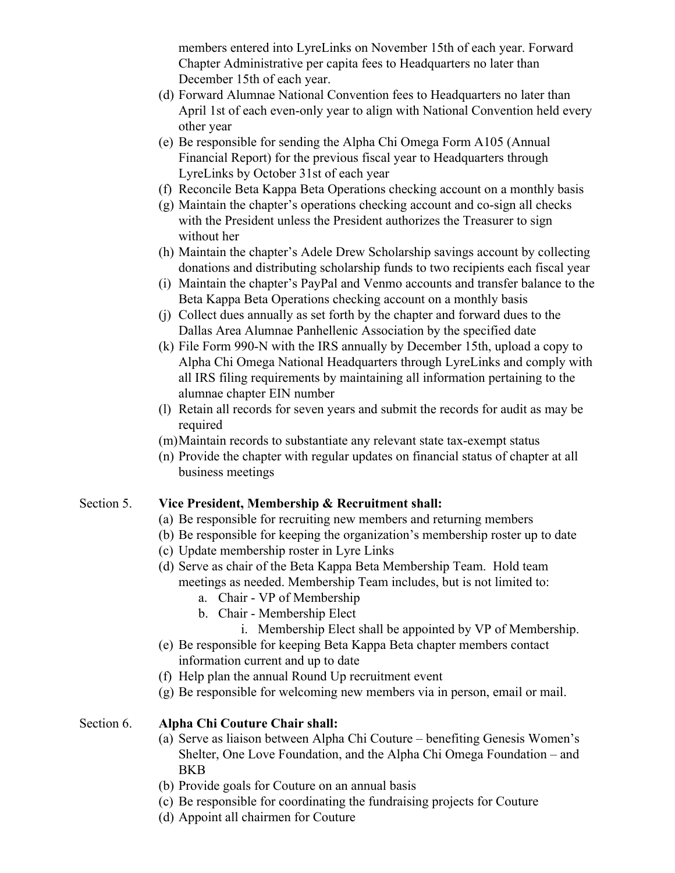members entered into LyreLinks on November 15th of each year. Forward Chapter Administrative per capita fees to Headquarters no later than December 15th of each year.

- (d) Forward Alumnae National Convention fees to Headquarters no later than April 1st of each even-only year to align with National Convention held every other year
- (e) Be responsible for sending the Alpha Chi Omega Form A105 (Annual Financial Report) for the previous fiscal year to Headquarters through LyreLinks by October 31st of each year
- (f) Reconcile Beta Kappa Beta Operations checking account on a monthly basis
- (g) Maintain the chapter's operations checking account and co-sign all checks with the President unless the President authorizes the Treasurer to sign without her
- (h) Maintain the chapter's Adele Drew Scholarship savings account by collecting donations and distributing scholarship funds to two recipients each fiscal year
- (i) Maintain the chapter's PayPal and Venmo accounts and transfer balance to the Beta Kappa Beta Operations checking account on a monthly basis
- (j) Collect dues annually as set forth by the chapter and forward dues to the Dallas Area Alumnae Panhellenic Association by the specified date
- (k) File Form 990-N with the IRS annually by December 15th, upload a copy to Alpha Chi Omega National Headquarters through LyreLinks and comply with all IRS filing requirements by maintaining all information pertaining to the alumnae chapter EIN number
- (l) Retain all records for seven years and submit the records for audit as may be required
- (m)Maintain records to substantiate any relevant state tax-exempt status
- (n) Provide the chapter with regular updates on financial status of chapter at all business meetings

#### Section 5. **Vice President, Membership & Recruitment shall:**

- (a) Be responsible for recruiting new members and returning members
- (b) Be responsible for keeping the organization's membership roster up to date
- (c) Update membership roster in Lyre Links
- (d) Serve as chair of the Beta Kappa Beta Membership Team. Hold team meetings as needed. Membership Team includes, but is not limited to:
	- a. Chair VP of Membership
	- b. Chair Membership Elect
		- i. Membership Elect shall be appointed by VP of Membership.
- (e) Be responsible for keeping Beta Kappa Beta chapter members contact information current and up to date
- (f) Help plan the annual Round Up recruitment event
- (g) Be responsible for welcoming new members via in person, email or mail.

#### Section 6. **Alpha Chi Couture Chair shall:**

- (a) Serve as liaison between Alpha Chi Couture benefiting Genesis Women's Shelter, One Love Foundation, and the Alpha Chi Omega Foundation – and BKB
- (b) Provide goals for Couture on an annual basis
- (c) Be responsible for coordinating the fundraising projects for Couture
- (d) Appoint all chairmen for Couture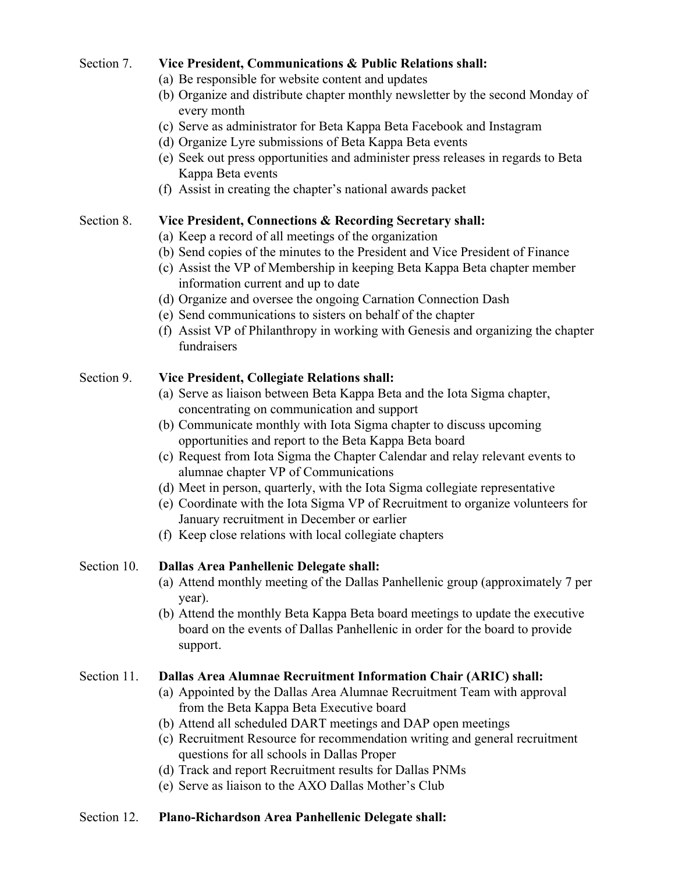## Section 7. **Vice President, Communications & Public Relations shall:**

- (a) Be responsible for website content and updates
- (b) Organize and distribute chapter monthly newsletter by the second Monday of every month
- (c) Serve as administrator for Beta Kappa Beta Facebook and Instagram
- (d) Organize Lyre submissions of Beta Kappa Beta events
- (e) Seek out press opportunities and administer press releases in regards to Beta Kappa Beta events
- (f) Assist in creating the chapter's national awards packet

#### Section 8. **Vice President, Connections & Recording Secretary shall:**

- (a) Keep a record of all meetings of the organization
- (b) Send copies of the minutes to the President and Vice President of Finance
- (c) Assist the VP of Membership in keeping Beta Kappa Beta chapter member information current and up to date
- (d) Organize and oversee the ongoing Carnation Connection Dash
- (e) Send communications to sisters on behalf of the chapter
- (f) Assist VP of Philanthropy in working with Genesis and organizing the chapter fundraisers

#### Section 9. **Vice President, Collegiate Relations shall:**

- (a) Serve as liaison between Beta Kappa Beta and the Iota Sigma chapter, concentrating on communication and support
- (b) Communicate monthly with Iota Sigma chapter to discuss upcoming opportunities and report to the Beta Kappa Beta board
- (c) Request from Iota Sigma the Chapter Calendar and relay relevant events to alumnae chapter VP of Communications
- (d) Meet in person, quarterly, with the Iota Sigma collegiate representative
- (e) Coordinate with the Iota Sigma VP of Recruitment to organize volunteers for January recruitment in December or earlier
- (f) Keep close relations with local collegiate chapters

## Section 10. **Dallas Area Panhellenic Delegate shall:**

- (a) Attend monthly meeting of the Dallas Panhellenic group (approximately 7 per year).
- (b) Attend the monthly Beta Kappa Beta board meetings to update the executive board on the events of Dallas Panhellenic in order for the board to provide support.

## Section 11. **Dallas Area Alumnae Recruitment Information Chair (ARIC) shall:**

- (a) Appointed by the Dallas Area Alumnae Recruitment Team with approval from the Beta Kappa Beta Executive board
- (b) Attend all scheduled DART meetings and DAP open meetings
- (c) Recruitment Resource for recommendation writing and general recruitment questions for all schools in Dallas Proper
- (d) Track and report Recruitment results for Dallas PNMs
- (e) Serve as liaison to the AXO Dallas Mother's Club

## Section 12. **Plano-Richardson Area Panhellenic Delegate shall:**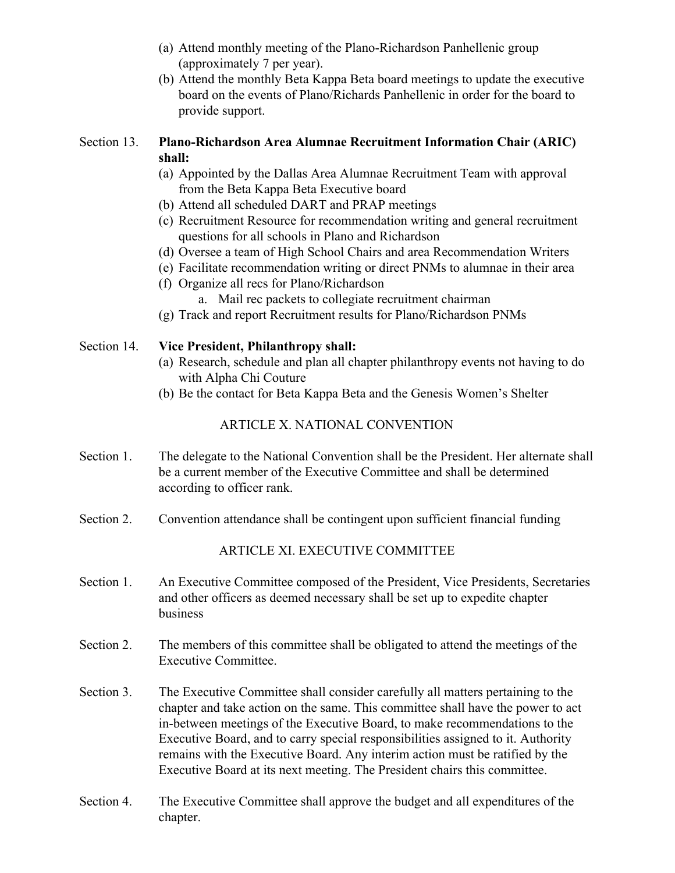- (a) Attend monthly meeting of the Plano-Richardson Panhellenic group (approximately 7 per year).
- (b) Attend the monthly Beta Kappa Beta board meetings to update the executive board on the events of Plano/Richards Panhellenic in order for the board to provide support.

## Section 13. **Plano-Richardson Area Alumnae Recruitment Information Chair (ARIC) shall:**

- (a) Appointed by the Dallas Area Alumnae Recruitment Team with approval from the Beta Kappa Beta Executive board
- (b) Attend all scheduled DART and PRAP meetings
- (c) Recruitment Resource for recommendation writing and general recruitment questions for all schools in Plano and Richardson
- (d) Oversee a team of High School Chairs and area Recommendation Writers
- (e) Facilitate recommendation writing or direct PNMs to alumnae in their area
- (f) Organize all recs for Plano/Richardson
	- a. Mail rec packets to collegiate recruitment chairman
- (g) Track and report Recruitment results for Plano/Richardson PNMs

# Section 14. **Vice President, Philanthropy shall:**

- (a) Research, schedule and plan all chapter philanthropy events not having to do with Alpha Chi Couture
- (b) Be the contact for Beta Kappa Beta and the Genesis Women's Shelter

# ARTICLE X. NATIONAL CONVENTION

- Section 1. The delegate to the National Convention shall be the President. Her alternate shall be a current member of the Executive Committee and shall be determined according to officer rank.
- Section 2. Convention attendance shall be contingent upon sufficient financial funding

# ARTICLE XI. EXECUTIVE COMMITTEE

- Section 1. An Executive Committee composed of the President, Vice Presidents, Secretaries and other officers as deemed necessary shall be set up to expedite chapter business
- Section 2. The members of this committee shall be obligated to attend the meetings of the Executive Committee.
- Section 3. The Executive Committee shall consider carefully all matters pertaining to the chapter and take action on the same. This committee shall have the power to act in-between meetings of the Executive Board, to make recommendations to the Executive Board, and to carry special responsibilities assigned to it. Authority remains with the Executive Board. Any interim action must be ratified by the Executive Board at its next meeting. The President chairs this committee.
- Section 4. The Executive Committee shall approve the budget and all expenditures of the chapter.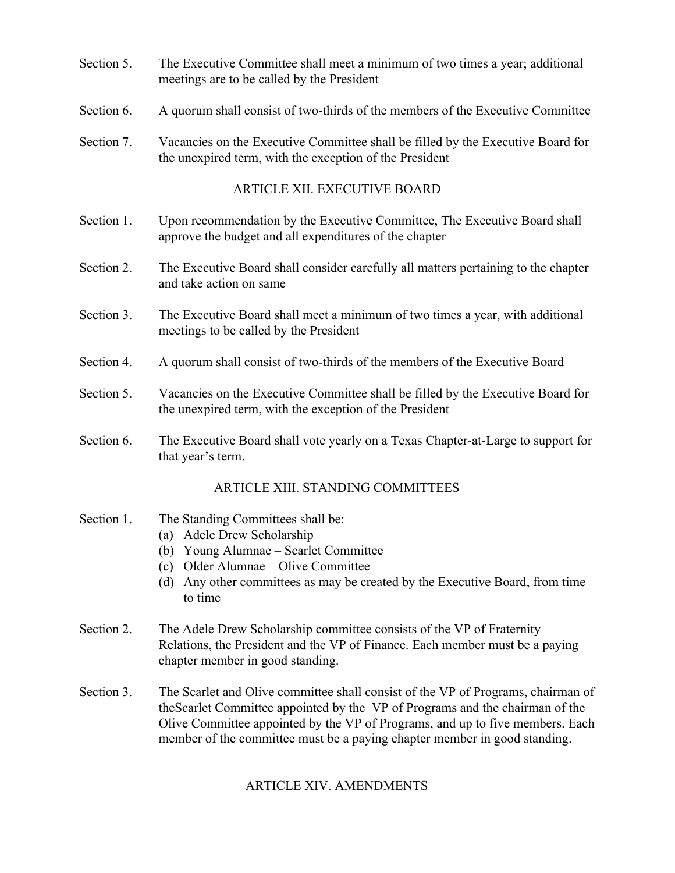- Section 5. The Executive Committee shall meet a minimum of two times a year; additional meetings are to be called by the President
- Section 6. A quorum shall consist of two-thirds of the members of the Executive Committee
- Section 7. Vacancies on the Executive Committee shall be filled by the Executive Board for the unexpired term, with the exception of the President

#### ARTICLE XII. EXECUTIVE BOARD

- Section 1. Upon recommendation by the Executive Committee, The Executive Board shall approve the budget and all expenditures of the chapter
- Section 2. The Executive Board shall consider carefully all matters pertaining to the chapter and take action on same
- Section 3. The Executive Board shall meet a minimum of two times a year, with additional meetings to be called by the President
- Section 4. A quorum shall consist of two-thirds of the members of the Executive Board
- Section 5. Vacancies on the Executive Committee shall be filled by the Executive Board for the unexpired term, with the exception of the President
- Section 6. The Executive Board shall vote yearly on a Texas Chapter-at-Large to support for that year's term.

## ARTICLE XIII. STANDING COMMITTEES

#### Section 1. The Standing Committees shall be:

- (a) Adele Drew Scholarship
- (b) Young Alumnae Scarlet Committee
- (c) Older Alumnae Olive Committee
- (d) Any other committees as may be created by the Executive Board, from time to time
- Section 2. The Adele Drew Scholarship committee consists of the VP of Fraternity Relations, the President and the VP of Finance. Each member must be a paying chapter member in good standing.
- Section 3. The Scarlet and Olive committee shall consist of the VP of Programs, chairman of theScarlet Committee appointed by the VP of Programs and the chairman of the Olive Committee appointed by the VP of Programs, and up to five members. Each member of the committee must be a paying chapter member in good standing.

## ARTICLE XIV. AMENDMENTS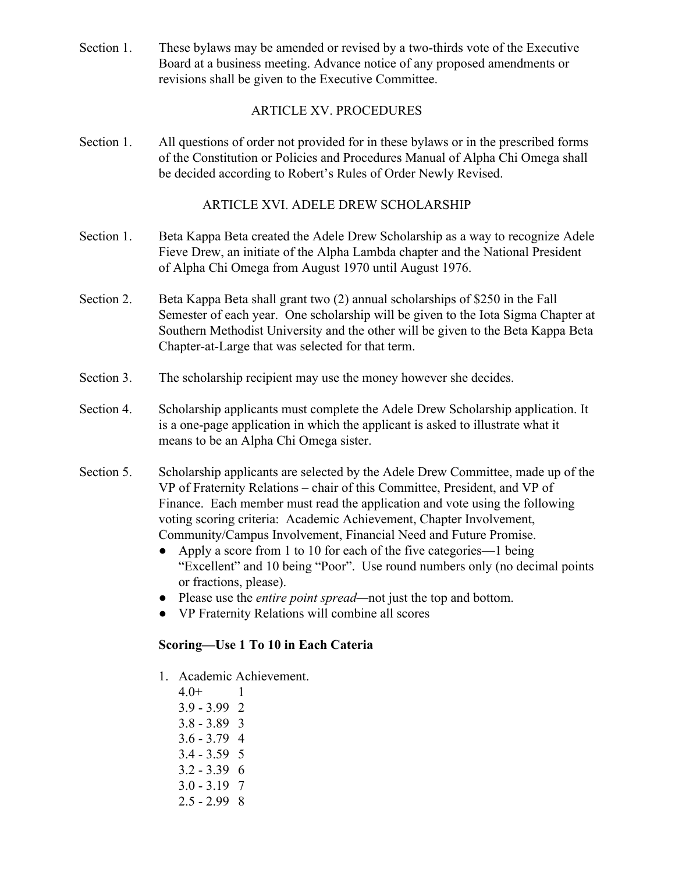Section 1. These bylaws may be amended or revised by a two-thirds vote of the Executive Board at a business meeting. Advance notice of any proposed amendments or revisions shall be given to the Executive Committee.

#### ARTICLE XV. PROCEDURES

Section 1. All questions of order not provided for in these bylaws or in the prescribed forms of the Constitution or Policies and Procedures Manual of Alpha Chi Omega shall be decided according to Robert's Rules of Order Newly Revised.

#### ARTICLE XVI. ADELE DREW SCHOLARSHIP

- Section 1. Beta Kappa Beta created the Adele Drew Scholarship as a way to recognize Adele Fieve Drew, an initiate of the Alpha Lambda chapter and the National President of Alpha Chi Omega from August 1970 until August 1976.
- Section 2. Beta Kappa Beta shall grant two (2) annual scholarships of \$250 in the Fall Semester of each year. One scholarship will be given to the Iota Sigma Chapter at Southern Methodist University and the other will be given to the Beta Kappa Beta Chapter-at-Large that was selected for that term.
- Section 3. The scholarship recipient may use the money however she decides.
- Section 4. Scholarship applicants must complete the Adele Drew Scholarship application. It is a one-page application in which the applicant is asked to illustrate what it means to be an Alpha Chi Omega sister.
- Section 5. Scholarship applicants are selected by the Adele Drew Committee, made up of the VP of Fraternity Relations – chair of this Committee, President, and VP of Finance. Each member must read the application and vote using the following voting scoring criteria: Academic Achievement, Chapter Involvement, Community/Campus Involvement, Financial Need and Future Promise.
	- Apply a score from 1 to 10 for each of the five categories—1 being "Excellent" and 10 being "Poor". Use round numbers only (no decimal points or fractions, please).
	- Please use the *entire point spread—*not just the top and bottom.
	- VP Fraternity Relations will combine all scores

## **Scoring—Use 1 To 10 in Each Cateria**

- 1. Academic Achievement.
	- 4.0+ 1
	- 3.9 3.99 2
	- 3.8 3.89 3
	- 3.6 3.79 4
	- 3.4 3.59 5
	- 3.2 3.39 6
	- 3.0 3.19 7
	- $2.5 2.99$  8